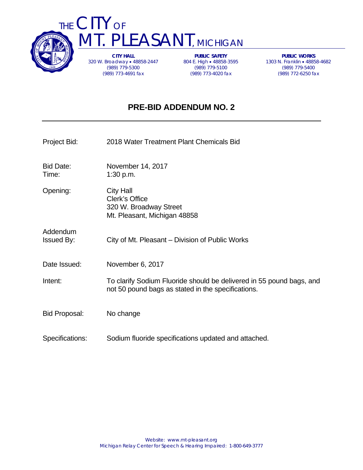



**CITY HALL**  320 W. Broadway 48858-2447 (989) 779-5300 (989) 773-4691 fax

**PUBLIC SAFETY**  804 E. High • 48858-3595 (989) 779-5100 (989) 773-4020 fax

**PUBLIC WORKS**  1303 N. Franklin 48858-4682 (989) 779-5400 (989) 772-6250 fax

## **PRE-BID ADDENDUM NO. 2**

| Project Bid:                  | 2018 Water Treatment Plant Chemicals Bid                                                                                   |
|-------------------------------|----------------------------------------------------------------------------------------------------------------------------|
| <b>Bid Date:</b><br>Time:     | November 14, 2017<br>1:30 p.m.                                                                                             |
| Opening:                      | <b>City Hall</b><br>Clerk's Office<br>320 W. Broadway Street<br>Mt. Pleasant, Michigan 48858                               |
| Addendum<br><b>Issued By:</b> | City of Mt. Pleasant – Division of Public Works                                                                            |
| Date Issued:                  | November 6, 2017                                                                                                           |
| Intent:                       | To clarify Sodium Fluoride should be delivered in 55 pound bags, and<br>not 50 pound bags as stated in the specifications. |
| <b>Bid Proposal:</b>          | No change                                                                                                                  |
| Specifications:               | Sodium fluoride specifications updated and attached.                                                                       |